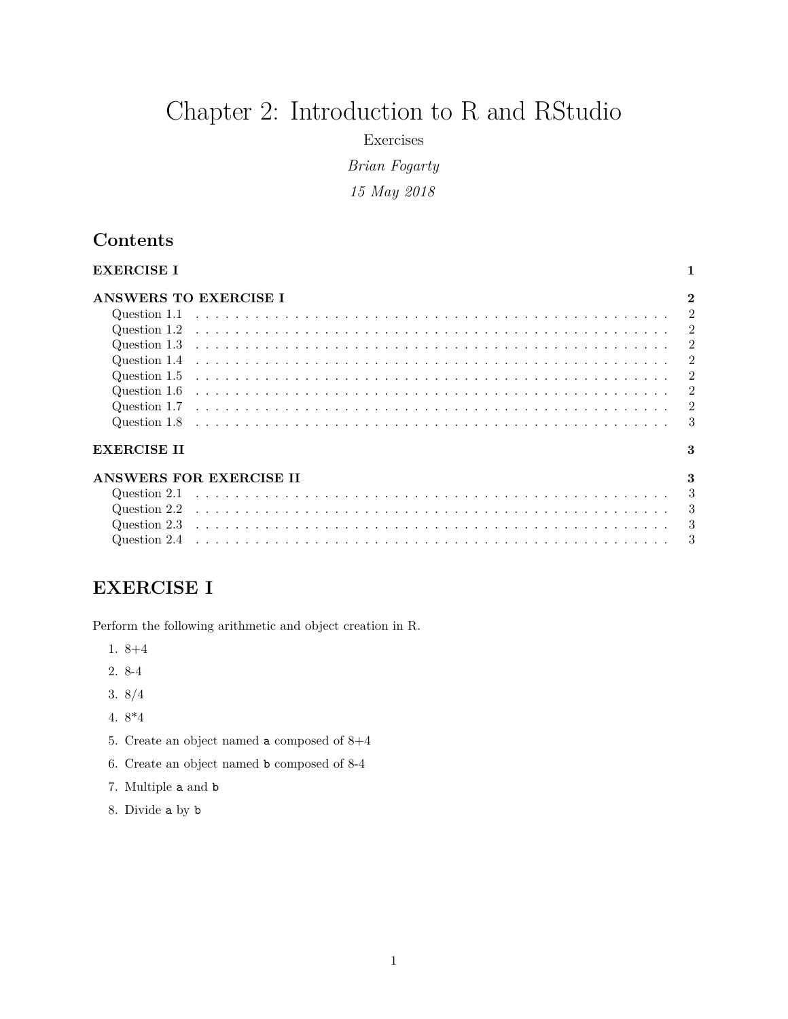# Chapter 2: Introduction to R and RStudio

Exercises

*Brian Fogarty*

*15 May 2018*

## **Contents**

| <b>EXERCISE I</b>            |  |  |  |  |  |  |  |  |  |  |  |  |  |  |  |  |  |  |  |  |  |
|------------------------------|--|--|--|--|--|--|--|--|--|--|--|--|--|--|--|--|--|--|--|--|--|
| <b>ANSWERS TO EXERCISE I</b> |  |  |  |  |  |  |  |  |  |  |  |  |  |  |  |  |  |  |  |  |  |
|                              |  |  |  |  |  |  |  |  |  |  |  |  |  |  |  |  |  |  |  |  |  |
|                              |  |  |  |  |  |  |  |  |  |  |  |  |  |  |  |  |  |  |  |  |  |
|                              |  |  |  |  |  |  |  |  |  |  |  |  |  |  |  |  |  |  |  |  |  |
|                              |  |  |  |  |  |  |  |  |  |  |  |  |  |  |  |  |  |  |  |  |  |
|                              |  |  |  |  |  |  |  |  |  |  |  |  |  |  |  |  |  |  |  |  |  |
|                              |  |  |  |  |  |  |  |  |  |  |  |  |  |  |  |  |  |  |  |  |  |
|                              |  |  |  |  |  |  |  |  |  |  |  |  |  |  |  |  |  |  |  |  |  |
|                              |  |  |  |  |  |  |  |  |  |  |  |  |  |  |  |  |  |  |  |  |  |
| <b>EXERCISE II</b>           |  |  |  |  |  |  |  |  |  |  |  |  |  |  |  |  |  |  |  |  |  |
| ANSWERS FOR EXERCISE II      |  |  |  |  |  |  |  |  |  |  |  |  |  |  |  |  |  |  |  |  |  |
|                              |  |  |  |  |  |  |  |  |  |  |  |  |  |  |  |  |  |  |  |  |  |
|                              |  |  |  |  |  |  |  |  |  |  |  |  |  |  |  |  |  |  |  |  |  |
|                              |  |  |  |  |  |  |  |  |  |  |  |  |  |  |  |  |  |  |  |  |  |
|                              |  |  |  |  |  |  |  |  |  |  |  |  |  |  |  |  |  |  |  |  |  |

#### <span id="page-0-0"></span>**EXERCISE I**

Perform the following arithmetic and object creation in R.

- 1. 8+4
- 2. 8-4
- 3. 8/4
- 4. 8\*4
- 5. Create an object named a composed of 8+4
- 6. Create an object named b composed of 8-4
- 7. Multiple a and b
- 8. Divide a by b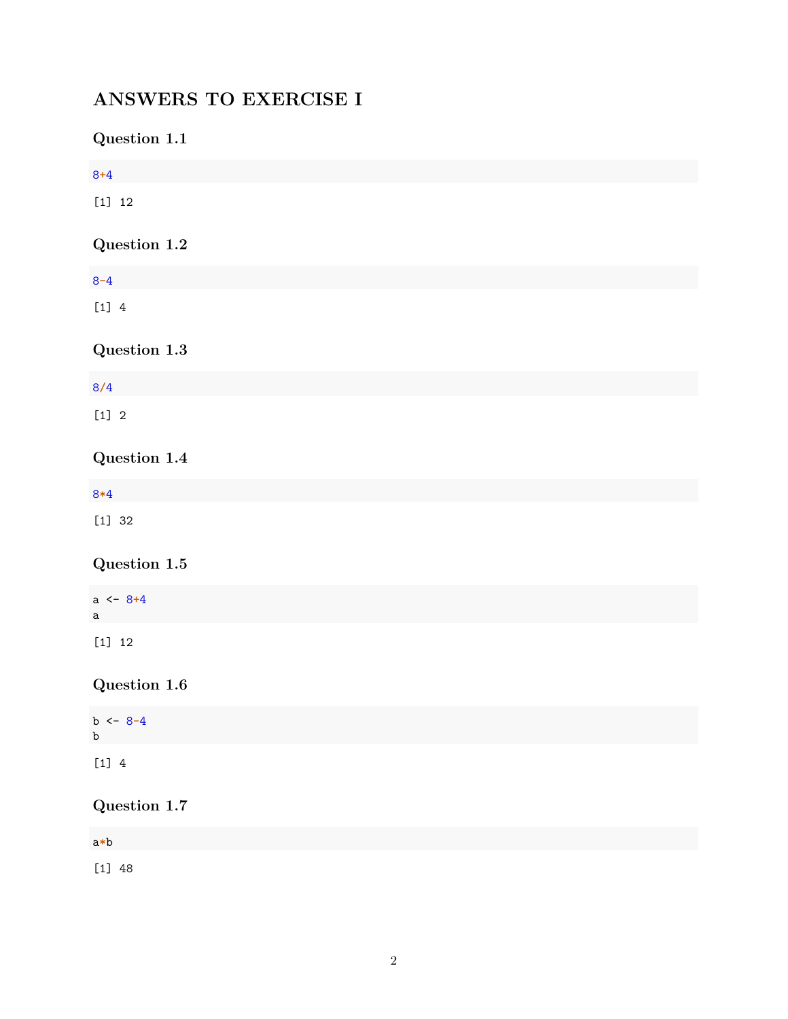## <span id="page-1-0"></span>**ANSWERS TO EXERCISE I**

## <span id="page-1-1"></span>**Question 1.1**

<span id="page-1-7"></span><span id="page-1-6"></span><span id="page-1-5"></span><span id="page-1-4"></span><span id="page-1-3"></span><span id="page-1-2"></span>

| $8 + 4$                                                     |  |  |
|-------------------------------------------------------------|--|--|
| $[1] 12$                                                    |  |  |
| Question $1.2\,$                                            |  |  |
|                                                             |  |  |
| $8 - 4$                                                     |  |  |
| $[1] 4$                                                     |  |  |
| Question $1.3\,$                                            |  |  |
| 8/4                                                         |  |  |
| $[1] 2$                                                     |  |  |
| Question $1.4\,$                                            |  |  |
| $8*4$                                                       |  |  |
| $\left[ \begin{smallmatrix} 1 \end{smallmatrix} \right]$ 32 |  |  |
| Question $1.5\,$                                            |  |  |
| $a \leftarrow 8 + 4$<br>a                                   |  |  |
| $[1] 12$                                                    |  |  |
| Question $1.6\,$                                            |  |  |
| $b \le -8-4$<br>$\mathbf b$                                 |  |  |
| $\begin{bmatrix} 1 \end{bmatrix}$ 4                         |  |  |
| Question $1.7\,$                                            |  |  |
| $\mathtt{a} \ast \mathtt{b}$                                |  |  |
| $[1] 48$                                                    |  |  |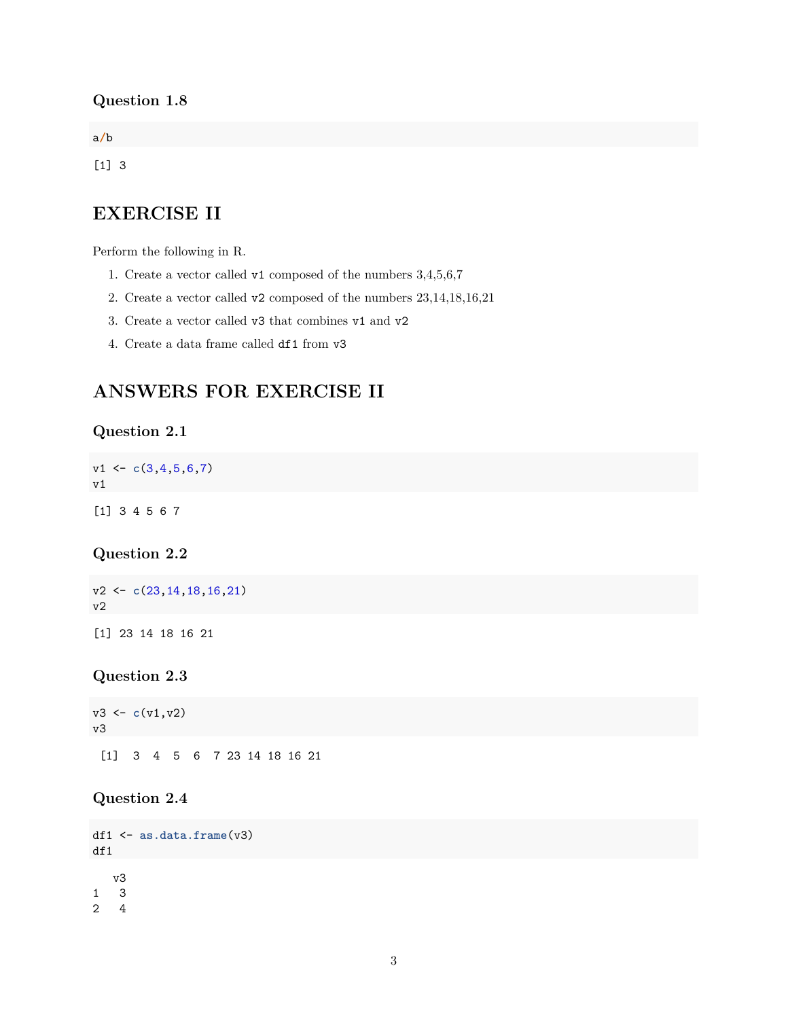#### <span id="page-2-0"></span>**Question 1.8**

a**/**b

[1] 3

## <span id="page-2-1"></span>**EXERCISE II**

Perform the following in R.

- 1. Create a vector called v1 composed of the numbers 3,4,5,6,7
- 2. Create a vector called v2 composed of the numbers 23,14,18,16,21
- 3. Create a vector called v3 that combines v1 and v2
- 4. Create a data frame called df1 from v3

## <span id="page-2-2"></span>**ANSWERS FOR EXERCISE II**

#### <span id="page-2-3"></span>**Question 2.1**

v1 <- **c**(3,4,5,6,7) v1

[1] 3 4 5 6 7

#### <span id="page-2-4"></span>**Question 2.2**

v2 <- **c**(23,14,18,16,21) v2

[1] 23 14 18 16 21

#### <span id="page-2-5"></span>**Question 2.3**

v3 <- **c**(v1,v2) v3 [1] 3 4 5 6 7 23 14 18 16 21

#### <span id="page-2-6"></span>**Question 2.4**

```
df1 <- as.data.frame(v3)
df1
   v3
1 3
2 4
```